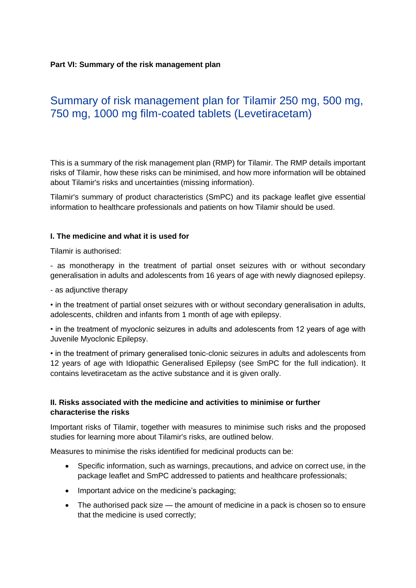### **Part VI: Summary of the risk management plan**

# Summary of risk management plan for Tilamir 250 mg, 500 mg, 750 mg, 1000 mg film-coated tablets (Levetiracetam)

This is a summary of the risk management plan (RMP) for Tilamir. The RMP details important risks of Tilamir, how these risks can be minimised, and how more information will be obtained about Tilamir's risks and uncertainties (missing information).

Tilamir's summary of product characteristics (SmPC) and its package leaflet give essential information to healthcare professionals and patients on how Tilamir should be used.

#### **I. The medicine and what it is used for**

Tilamir is authorised:

- as monotherapy in the treatment of partial onset seizures with or without secondary generalisation in adults and adolescents from 16 years of age with newly diagnosed epilepsy.

- as adjunctive therapy

• in the treatment of partial onset seizures with or without secondary generalisation in adults, adolescents, children and infants from 1 month of age with epilepsy.

• in the treatment of myoclonic seizures in adults and adolescents from 12 years of age with Juvenile Myoclonic Epilepsy.

• in the treatment of primary generalised tonic-clonic seizures in adults and adolescents from 12 years of age with Idiopathic Generalised Epilepsy (see SmPC for the full indication). It contains levetiracetam as the active substance and it is given orally.

# **II. Risks associated with the medicine and activities to minimise or further characterise the risks**

Important risks of Tilamir, together with measures to minimise such risks and the proposed studies for learning more about Tilamir's risks, are outlined below.

Measures to minimise the risks identified for medicinal products can be:

- Specific information, such as warnings, precautions, and advice on correct use, in the package leaflet and SmPC addressed to patients and healthcare professionals;
- Important advice on the medicine's packaging;
- The authorised pack size the amount of medicine in a pack is chosen so to ensure that the medicine is used correctly;